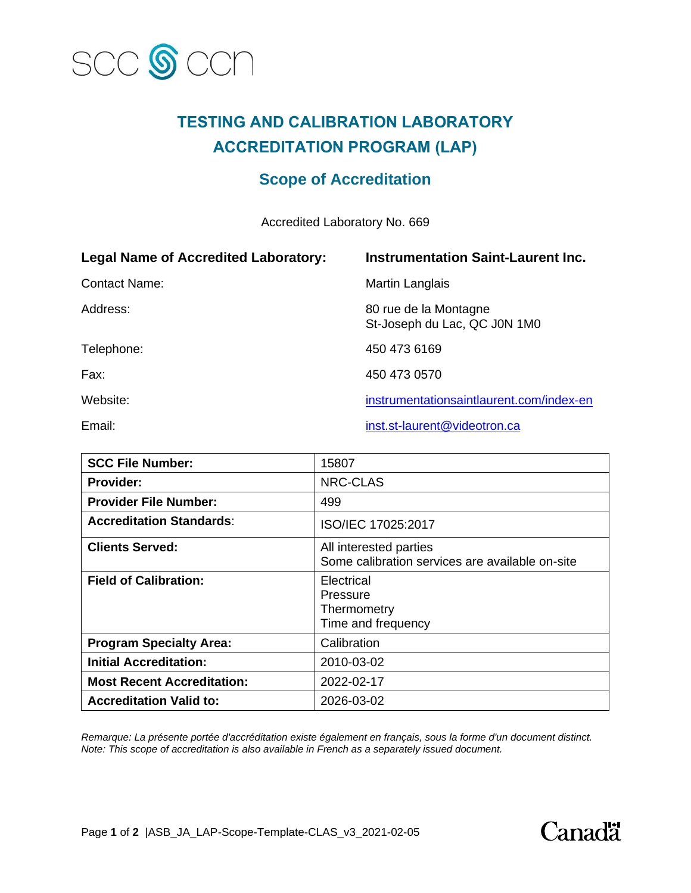

## **TESTING AND CALIBRATION LABORATORY ACCREDITATION PROGRAM (LAP)**

## **Scope of Accreditation**

Accredited Laboratory No. 669

| <b>Legal Name of Accredited Laboratory:</b> | <b>Instrumentation Saint-Laurent Inc.</b>             |
|---------------------------------------------|-------------------------------------------------------|
| <b>Contact Name:</b>                        | Martin Langlais                                       |
| Address:                                    | 80 rue de la Montagne<br>St-Joseph du Lac, QC J0N 1M0 |
| Telephone:                                  | 450 473 6169                                          |
| Fax:                                        | 450 473 0570                                          |
| Website:                                    | instrumentationsaintlaurent.com/index-en              |
| Email:                                      | inst.st-laurent@videotron.ca                          |

| <b>SCC File Number:</b>           | 15807                                                                     |
|-----------------------------------|---------------------------------------------------------------------------|
| <b>Provider:</b>                  | NRC-CLAS                                                                  |
| <b>Provider File Number:</b>      | 499                                                                       |
| <b>Accreditation Standards:</b>   | ISO/IEC 17025:2017                                                        |
| <b>Clients Served:</b>            | All interested parties<br>Some calibration services are available on-site |
| <b>Field of Calibration:</b>      | Electrical<br>Pressure<br>Thermometry<br>Time and frequency               |
| <b>Program Specialty Area:</b>    | Calibration                                                               |
| <b>Initial Accreditation:</b>     | 2010-03-02                                                                |
| <b>Most Recent Accreditation:</b> | 2022-02-17                                                                |
| <b>Accreditation Valid to:</b>    | 2026-03-02                                                                |

*Remarque: La présente portée d'accréditation existe également en français, sous la forme d'un document distinct. Note: This scope of accreditation is also available in French as a separately issued document.*